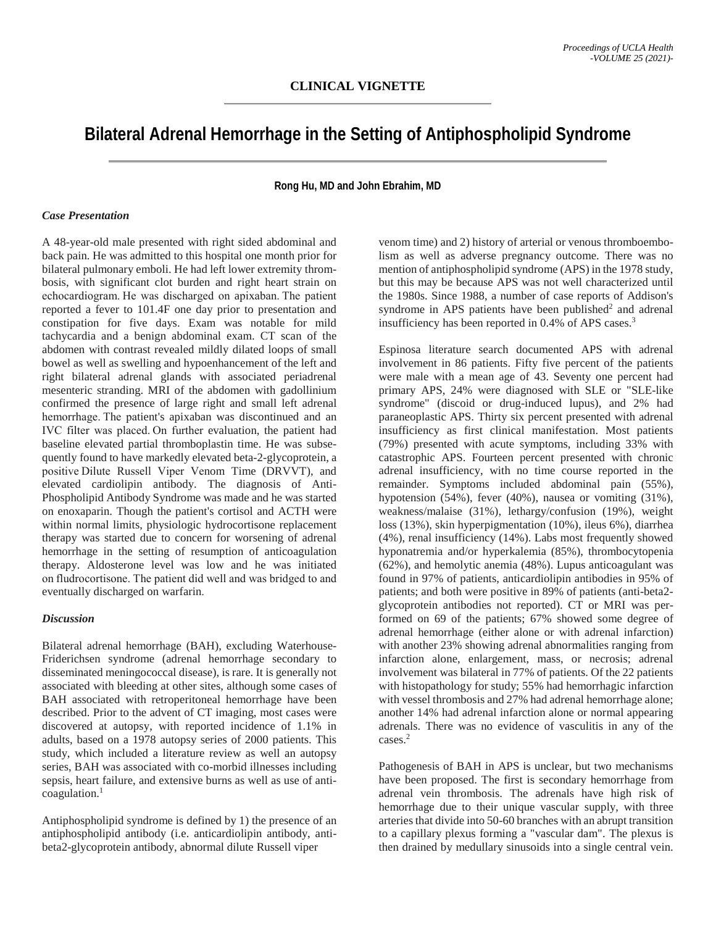# **Bilateral Adrenal Hemorrhage in the Setting of Antiphospholipid Syndrome**

**Rong Hu, MD and John Ebrahim, MD**

## *Case Presentation*

A 48-year-old male presented with right sided abdominal and back pain. He was admitted to this hospital one month prior for bilateral pulmonary emboli. He had left lower extremity thrombosis, with significant clot burden and right heart strain on echocardiogram. He was discharged on apixaban. The patient reported a fever to 101.4F one day prior to presentation and constipation for five days. Exam was notable for mild tachycardia and a benign abdominal exam. CT scan of the abdomen with contrast revealed mildly dilated loops of small bowel as well as swelling and hypoenhancement of the left and right bilateral adrenal glands with associated periadrenal mesenteric stranding. MRI of the abdomen with gadollinium confirmed the presence of large right and small left adrenal hemorrhage. The patient's apixaban was discontinued and an IVC filter was placed. On further evaluation, the patient had baseline elevated partial thromboplastin time. He was subsequently found to have markedly elevated beta-2-glycoprotein, a positive Dilute Russell Viper Venom Time (DRVVT), and elevated cardiolipin antibody. The diagnosis of Anti-Phospholipid Antibody Syndrome was made and he was started on enoxaparin. Though the patient's cortisol and ACTH were within normal limits, physiologic hydrocortisone replacement therapy was started due to concern for worsening of adrenal hemorrhage in the setting of resumption of anticoagulation therapy. Aldosterone level was low and he was initiated on fludrocortisone. The patient did well and was bridged to and eventually discharged on warfarin. 

### *Discussion*

Bilateral adrenal hemorrhage (BAH), excluding Waterhouse-Friderichsen syndrome (adrenal hemorrhage secondary to disseminated meningococcal disease), is rare. It is generally not associated with bleeding at other sites, although some cases of BAH associated with retroperitoneal hemorrhage have been described. Prior to the advent of CT imaging, most cases were discovered at autopsy, with reported incidence of 1.1% in adults, based on a 1978 autopsy series of 2000 patients. This study, which included a literature review as well an autopsy series, BAH was associated with co-morbid illnesses including sepsis, heart failure, and extensive burns as well as use of anti $coagulation.<sup>1</sup>$ 

Antiphospholipid syndrome is defined by 1) the presence of an antiphospholipid antibody (i.e. anticardiolipin antibody, antibeta2-glycoprotein antibody, abnormal dilute Russell viper

venom time) and 2) history of arterial or venous thromboembolism as well as adverse pregnancy outcome. There was no mention of antiphospholipid syndrome (APS) in the 1978 study, but this may be because APS was not well characterized until the 1980s. Since 1988, a number of case reports of Addison's syndrome in APS patients have been published $2$  and adrenal insufficiency has been reported in 0.4% of APS cases.3

Espinosa literature search documented APS with adrenal involvement in 86 patients. Fifty five percent of the patients were male with a mean age of 43. Seventy one percent had primary APS, 24% were diagnosed with SLE or "SLE-like syndrome" (discoid or drug-induced lupus), and 2% had paraneoplastic APS. Thirty six percent presented with adrenal insufficiency as first clinical manifestation. Most patients (79%) presented with acute symptoms, including 33% with catastrophic APS. Fourteen percent presented with chronic adrenal insufficiency, with no time course reported in the remainder. Symptoms included abdominal pain (55%), hypotension (54%), fever (40%), nausea or vomiting (31%), weakness/malaise (31%), lethargy/confusion (19%), weight loss (13%), skin hyperpigmentation (10%), ileus 6%), diarrhea (4%), renal insufficiency (14%). Labs most frequently showed hyponatremia and/or hyperkalemia (85%), thrombocytopenia (62%), and hemolytic anemia (48%). Lupus anticoagulant was found in 97% of patients, anticardiolipin antibodies in 95% of patients; and both were positive in 89% of patients (anti-beta2 glycoprotein antibodies not reported). CT or MRI was performed on 69 of the patients; 67% showed some degree of adrenal hemorrhage (either alone or with adrenal infarction) with another 23% showing adrenal abnormalities ranging from infarction alone, enlargement, mass, or necrosis; adrenal involvement was bilateral in 77% of patients. Of the 22 patients with histopathology for study; 55% had hemorrhagic infarction with vessel thrombosis and 27% had adrenal hemorrhage alone; another 14% had adrenal infarction alone or normal appearing adrenals. There was no evidence of vasculitis in any of the cases.2

Pathogenesis of BAH in APS is unclear, but two mechanisms have been proposed. The first is secondary hemorrhage from adrenal vein thrombosis. The adrenals have high risk of hemorrhage due to their unique vascular supply, with three arteries that divide into 50-60 branches with an abrupt transition to a capillary plexus forming a "vascular dam". The plexus is then drained by medullary sinusoids into a single central vein.